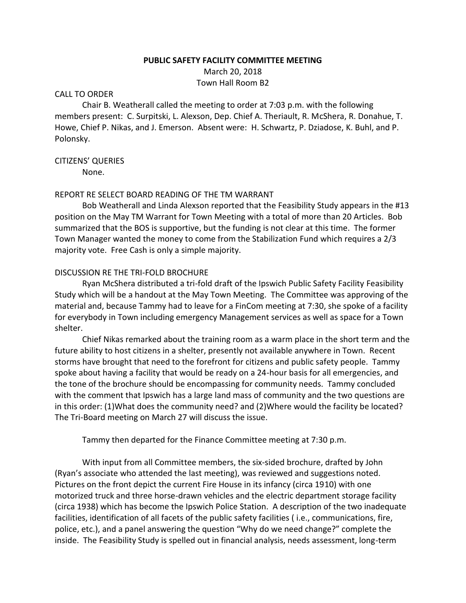#### **PUBLIC SAFETY FACILITY COMMITTEE MEETING**

March 20, 2018 Town Hall Room B2

#### CALL TO ORDER

Chair B. Weatherall called the meeting to order at 7:03 p.m. with the following members present: C. Surpitski, L. Alexson, Dep. Chief A. Theriault, R. McShera, R. Donahue, T. Howe, Chief P. Nikas, and J. Emerson. Absent were: H. Schwartz, P. Dziadose, K. Buhl, and P. Polonsky.

### CITIZENS' QUERIES

None.

# REPORT RE SELECT BOARD READING OF THE TM WARRANT

Bob Weatherall and Linda Alexson reported that the Feasibility Study appears in the #13 position on the May TM Warrant for Town Meeting with a total of more than 20 Articles. Bob summarized that the BOS is supportive, but the funding is not clear at this time. The former Town Manager wanted the money to come from the Stabilization Fund which requires a 2/3 majority vote. Free Cash is only a simple majority.

### DISCUSSION RE THE TRI-FOLD BROCHURE

Ryan McShera distributed a tri-fold draft of the Ipswich Public Safety Facility Feasibility Study which will be a handout at the May Town Meeting. The Committee was approving of the material and, because Tammy had to leave for a FinCom meeting at 7:30, she spoke of a facility for everybody in Town including emergency Management services as well as space for a Town shelter.

Chief Nikas remarked about the training room as a warm place in the short term and the future ability to host citizens in a shelter, presently not available anywhere in Town. Recent storms have brought that need to the forefront for citizens and public safety people. Tammy spoke about having a facility that would be ready on a 24-hour basis for all emergencies, and the tone of the brochure should be encompassing for community needs. Tammy concluded with the comment that Ipswich has a large land mass of community and the two questions are in this order: (1)What does the community need? and (2)Where would the facility be located? The Tri-Board meeting on March 27 will discuss the issue.

Tammy then departed for the Finance Committee meeting at 7:30 p.m.

With input from all Committee members, the six-sided brochure, drafted by John (Ryan's associate who attended the last meeting), was reviewed and suggestions noted. Pictures on the front depict the current Fire House in its infancy (circa 1910) with one motorized truck and three horse-drawn vehicles and the electric department storage facility (circa 1938) which has become the Ipswich Police Station. A description of the two inadequate facilities, identification of all facets of the public safety facilities ( i.e., communications, fire, police, etc.), and a panel answering the question "Why do we need change?" complete the inside. The Feasibility Study is spelled out in financial analysis, needs assessment, long-term